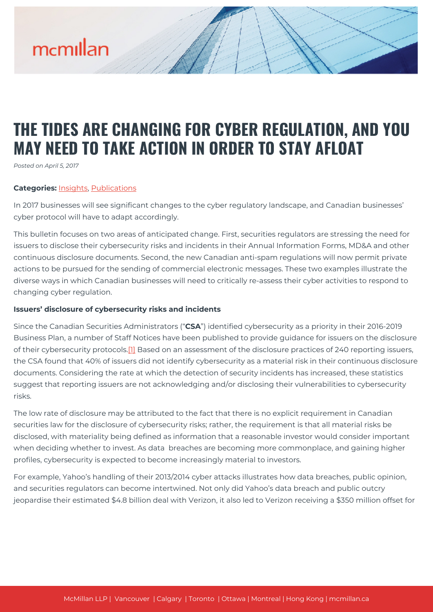# mcmillan

## **THE TIDES ARE CHANGING FOR CYBER REGULATION, AND YOU MAY NEED TO TAKE ACTION IN ORDER TO STAY AFLOAT**

*Posted on April 5, 2017*

#### **Categories:** [Insights,](https://mcmillan.ca/insights/) [Publications](https://mcmillan.ca/insights/publications/)

In 2017 businesses will see significant changes to the cyber regulatory landscape, and Canadian businesses' cyber protocol will have to adapt accordingly.

This bulletin focuses on two areas of anticipated change. First, securities regulators are stressing the need for issuers to disclose their cybersecurity risks and incidents in their Annual Information Forms, MD&A and other continuous disclosure documents. Second, the new Canadian anti-spam regulations will now permit private actions to be pursued for the sending of commercial electronic messages. These two examples illustrate the diverse ways in which Canadian businesses will need to critically re-assess their cyber activities to respond to changing cyber regulation.

#### **Issuers' disclosure of cybersecurity risks and incidents**

Since the Canadian Securities Administrators ("**CSA**") identified cybersecurity as a priority in their 2016-2019 Business Plan, a number of Staff Notices have been published to provide guidance for issuers on the disclosure of their cybersecurity protocols[.\[1\]](#page--1-0) Based on an assessment of the disclosure practices of 240 reporting issuers, the CSA found that 40% of issuers did not identify cybersecurity as a material risk in their continuous disclosure documents. Considering the rate at which the detection of security incidents has increased, these statistics suggest that reporting issuers are not acknowledging and/or disclosing their vulnerabilities to cybersecurity risks.

The low rate of disclosure may be attributed to the fact that there is no explicit requirement in Canadian securities law for the disclosure of cybersecurity risks; rather, the requirement is that all material risks be disclosed, with materiality being defined as information that a reasonable investor would consider important when deciding whether to invest. As data breaches are becoming more commonplace, and gaining higher profiles, cybersecurity is expected to become increasingly material to investors.

For example, Yahoo's handling of their 2013/2014 cyber attacks illustrates how data breaches, public opinion, and securities regulators can become intertwined. Not only did Yahoo's data breach and public outcry jeopardise their estimated \$4.8 billion deal with Verizon, it also led to Verizon receiving a \$350 million offset for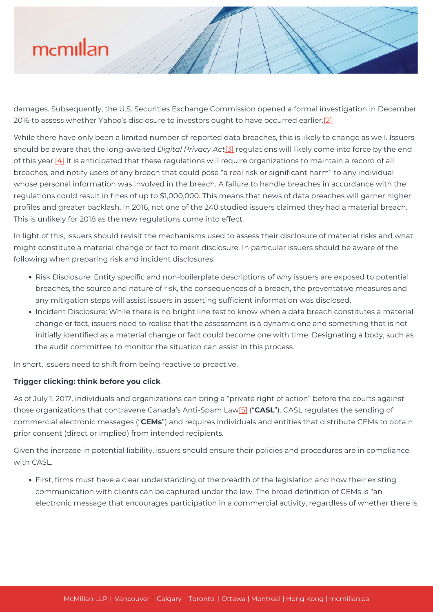# mcmillan

damages. Subsequently, the U.S. Securities Exchange Commission opened a formal investigation in December 2016 to assess whether Yahoo's disclosure to investors ought to have occurred earlier.[\[2\]](#page--1-0) 

While there have only been a limited number of reported data breaches, this is likely to change as well. Issuers should be aware that the long-awaited *Digital Privacy Act*[\[3\]](#page--1-0) regulations will likely come into force by the end of this year.<sup>[4]</sup> It is anticipated that these regulations will require organizations to maintain a record of all breaches, and notify users of any breach that could pose "a real risk or significant harm" to any individual whose personal information was involved in the breach. A failure to handle breaches in accordance with the regulations could result in fines of up to \$1,000,000. This means that news of data breaches will garner higher profiles and greater backlash. In 2016, not one of the 240 studied issuers claimed they had a material breach. This is unlikely for 2018 as the new regulations come into effect.

In light of this, issuers should revisit the mechanisms used to assess their disclosure of material risks and what might constitute a material change or fact to merit disclosure. In particular issuers should be aware of the following when preparing risk and incident disclosures:

- Risk Disclosure: Entity specific and non-boilerplate descriptions of why issuers are exposed to potential breaches, the source and nature of risk, the consequences of a breach, the preventative measures and any mitigation steps will assist issuers in asserting sufficient information was disclosed.
- Incident Disclosure: While there is no bright line test to know when a data breach constitutes a material change or fact, issuers need to realise that the assessment is a dynamic one and something that is not initially identified as a material change or fact could become one with time. Designating a body, such as the audit committee, to monitor the situation can assist in this process.

In short, issuers need to shift from being reactive to proactive.

### **Trigger clicking: think before you click**

As of July 1, 2017, individuals and organizations can bring a "private right of action" before the courts against those organizations that contravene Canada's Anti-Spam La[w\[5\]](#page--1-0) ("**CASL**"). CASL regulates the sending of commercial electronic messages ("**CEMs**") and requires individuals and entities that distribute CEMs to obtain prior consent (direct or implied) from intended recipients.

Given the increase in potential liability, issuers should ensure their policies and procedures are in compliance with CASL.

First, firms must have a clear understanding of the breadth of the legislation and how their existing communication with clients can be captured under the law. The broad definition of CEMs is "an electronic message that encourages participation in a commercial activity, regardless of whether there is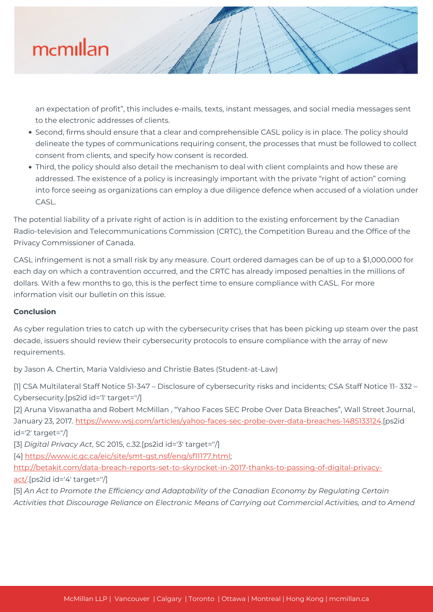# mcmillan

an expectation of profit", this includes e-mails, texts, instant messages, and social media messages sent to the electronic addresses of clients.

- Second, firms should ensure that a clear and comprehensible CASL policy is in place. The policy should delineate the types of communications requiring consent, the processes that must be followed to collect consent from clients, and specify how consent is recorded.
- Third, the policy should also detail the mechanism to deal with client complaints and how these are addressed. The existence of a policy is increasingly important with the private "right of action" coming into force seeing as organizations can employ a due diligence defence when accused of a violation under CASL.

The potential liability of a private right of action is in addition to the existing enforcement by the Canadian Radio-television and Telecommunications Commission (CRTC), the Competition Bureau and the Office of the Privacy Commissioner of Canada.

CASL infringement is not a small risk by any measure. Court ordered damages can be of up to a \$1,000,000 for each day on which a contravention occurred, and the CRTC has already imposed penalties in the millions of dollars. With a few months to go, this is the perfect time to ensure compliance with CASL. For more information visit our bulletin on this issue.

### **Conclusion**

As cyber regulation tries to catch up with the cybersecurity crises that has been picking up steam over the past decade, issuers should review their cybersecurity protocols to ensure compliance with the array of new requirements.

by Jason A. Chertin, Maria Valdivieso and Christie Bates (Student-at-Law)

[1] CSA Multilateral Staff Notice 51-347 – Disclosure of cybersecurity risks and incidents; CSA Staff Notice 11-332 – Cybersecurity.[ps2id id='1' target=''/]

[2] Aruna Viswanatha and Robert McMillan , "Yahoo Faces SEC Probe Over Data Breaches", Wall Street Journal, January 23, 2017. <https://www.wsj.com/articles/yahoo-faces-sec-probe-over-data-breaches-1485133124>.[ps2id id='2' target=''/]

[3] *Digital Privacy Act*, SC 2015, c.32.[ps2id id='3' target=''/]

[4] [https://www.ic.gc.ca/eic/site/smt-gst.nsf/eng/sf11177.html;](https://www.ic.gc.ca/eic/site/smt-gst.nsf/eng/sf11177.html)

[http://betakit.com/data-breach-reports-set-to-skyrocket-in-2017-thanks-to-passing-of-digital-privacy](http://betakit.com/data-breach-reports-set-to-skyrocket-in-2017-thanks-to-passing-of-digital-privacy-act/)[act/.](http://betakit.com/data-breach-reports-set-to-skyrocket-in-2017-thanks-to-passing-of-digital-privacy-act/)[ps2id id='4' target=''/]

[5] *An Act to Promote the Efficiency and Adaptability of the Canadian Economy by Regulating Certain Activities that Discourage Reliance on Electronic Means of Carrying out Commercial Activities, and to Amend*